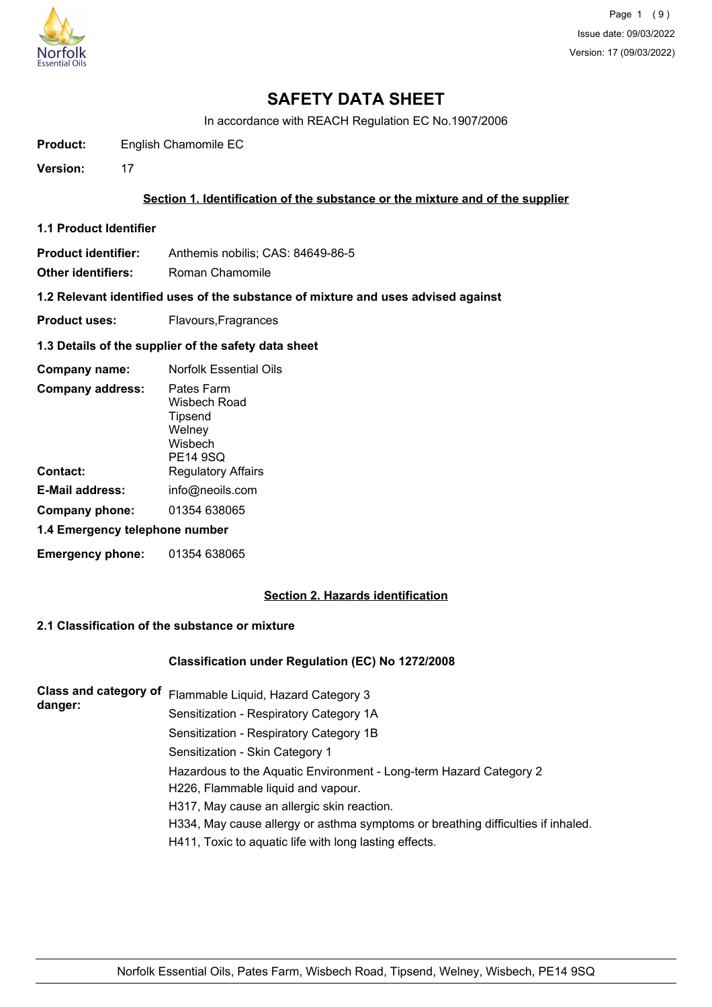

In accordance with REACH Regulation EC No.1907/2006

**Product:** English Chamomile EC

**Version:** 17

### **Section 1. Identification of the substance or the mixture and of the supplier**

**1.1 Product Identifier**

**Product identifier:** Anthemis nobilis; CAS: 84649-86-5

**Other identifiers:** Roman Chamomile

**1.2 Relevant identified uses of the substance of mixture and uses advised against**

**Product uses:** Flavours, Fragrances

#### **1.3 Details of the supplier of the safety data sheet**

| Company name:                           | <b>Norfolk Essential Oils</b>                                                 |  |
|-----------------------------------------|-------------------------------------------------------------------------------|--|
| <b>Company address:</b>                 | Pates Farm<br>Wisbech Road<br>Tipsend<br>Welney<br>Wisbech<br><b>PE14 9SQ</b> |  |
| Contact:                                | <b>Regulatory Affairs</b>                                                     |  |
| E-Mail address:                         | info@neoils.com                                                               |  |
| 01354 638065<br>Company phone:          |                                                                               |  |
| 1.4 Emergency telephone number          |                                                                               |  |
| <b>Emergency phone:</b><br>01354 638065 |                                                                               |  |

### **Section 2. Hazards identification**

## **2.1 Classification of the substance or mixture**

#### **Classification under Regulation (EC) No 1272/2008**

| <b>Class and category of</b><br>danger: | Flammable Liquid, Hazard Category 3                                              |
|-----------------------------------------|----------------------------------------------------------------------------------|
|                                         | Sensitization - Respiratory Category 1A                                          |
|                                         | Sensitization - Respiratory Category 1B                                          |
|                                         | Sensitization - Skin Category 1                                                  |
|                                         | Hazardous to the Aquatic Environment - Long-term Hazard Category 2               |
|                                         | H226, Flammable liquid and vapour.                                               |
|                                         | H317, May cause an allergic skin reaction.                                       |
|                                         | H334, May cause allergy or asthma symptoms or breathing difficulties if inhaled. |
|                                         | H411, Toxic to aquatic life with long lasting effects.                           |
|                                         |                                                                                  |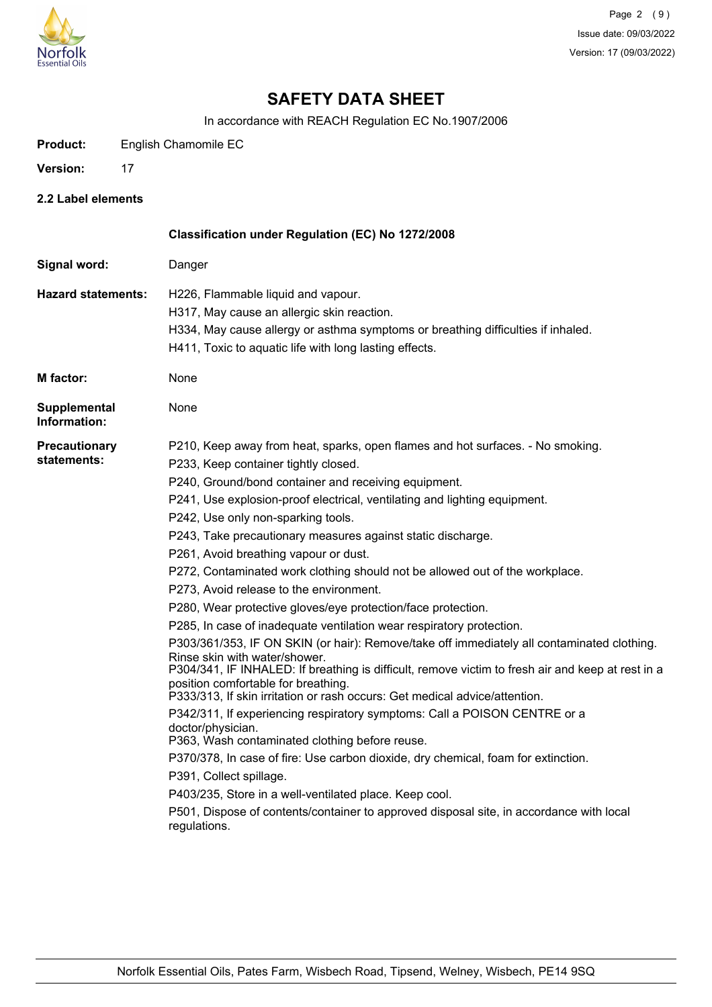

In accordance with REACH Regulation EC No.1907/2006

| English Chamomile EC<br><b>Product:</b> |
|-----------------------------------------|
|-----------------------------------------|

- Version: 17
- **2.2 Label elements**

|                                     | Classification under Regulation (EC) No 1272/2008                                                                                                                                                                                                                                                                                                                                                                                                                                                                                                                                                                                                                                                                                                                                                                                                                                                                                                                                                                                                                                                                                                                                                                                                                                                                                                                                                                                                                              |
|-------------------------------------|--------------------------------------------------------------------------------------------------------------------------------------------------------------------------------------------------------------------------------------------------------------------------------------------------------------------------------------------------------------------------------------------------------------------------------------------------------------------------------------------------------------------------------------------------------------------------------------------------------------------------------------------------------------------------------------------------------------------------------------------------------------------------------------------------------------------------------------------------------------------------------------------------------------------------------------------------------------------------------------------------------------------------------------------------------------------------------------------------------------------------------------------------------------------------------------------------------------------------------------------------------------------------------------------------------------------------------------------------------------------------------------------------------------------------------------------------------------------------------|
| Signal word:                        | Danger                                                                                                                                                                                                                                                                                                                                                                                                                                                                                                                                                                                                                                                                                                                                                                                                                                                                                                                                                                                                                                                                                                                                                                                                                                                                                                                                                                                                                                                                         |
| <b>Hazard statements:</b>           | H226, Flammable liquid and vapour.<br>H317, May cause an allergic skin reaction.<br>H334, May cause allergy or asthma symptoms or breathing difficulties if inhaled.<br>H411, Toxic to aquatic life with long lasting effects.                                                                                                                                                                                                                                                                                                                                                                                                                                                                                                                                                                                                                                                                                                                                                                                                                                                                                                                                                                                                                                                                                                                                                                                                                                                 |
| <b>M</b> factor:                    | None                                                                                                                                                                                                                                                                                                                                                                                                                                                                                                                                                                                                                                                                                                                                                                                                                                                                                                                                                                                                                                                                                                                                                                                                                                                                                                                                                                                                                                                                           |
| <b>Supplemental</b><br>Information: | None                                                                                                                                                                                                                                                                                                                                                                                                                                                                                                                                                                                                                                                                                                                                                                                                                                                                                                                                                                                                                                                                                                                                                                                                                                                                                                                                                                                                                                                                           |
| Precautionary<br>statements:        | P210, Keep away from heat, sparks, open flames and hot surfaces. - No smoking.<br>P233, Keep container tightly closed.<br>P240, Ground/bond container and receiving equipment.<br>P241, Use explosion-proof electrical, ventilating and lighting equipment.<br>P242, Use only non-sparking tools.<br>P243, Take precautionary measures against static discharge.<br>P261, Avoid breathing vapour or dust.<br>P272, Contaminated work clothing should not be allowed out of the workplace.<br>P273, Avoid release to the environment.<br>P280, Wear protective gloves/eye protection/face protection.<br>P285, In case of inadequate ventilation wear respiratory protection.<br>P303/361/353, IF ON SKIN (or hair): Remove/take off immediately all contaminated clothing.<br>Rinse skin with water/shower.<br>P304/341, IF INHALED: If breathing is difficult, remove victim to fresh air and keep at rest in a<br>position comfortable for breathing.<br>P333/313, If skin irritation or rash occurs: Get medical advice/attention.<br>P342/311, If experiencing respiratory symptoms: Call a POISON CENTRE or a<br>doctor/physician.<br>P363, Wash contaminated clothing before reuse.<br>P370/378, In case of fire: Use carbon dioxide, dry chemical, foam for extinction.<br>P391, Collect spillage.<br>P403/235, Store in a well-ventilated place. Keep cool.<br>P501, Dispose of contents/container to approved disposal site, in accordance with local<br>regulations. |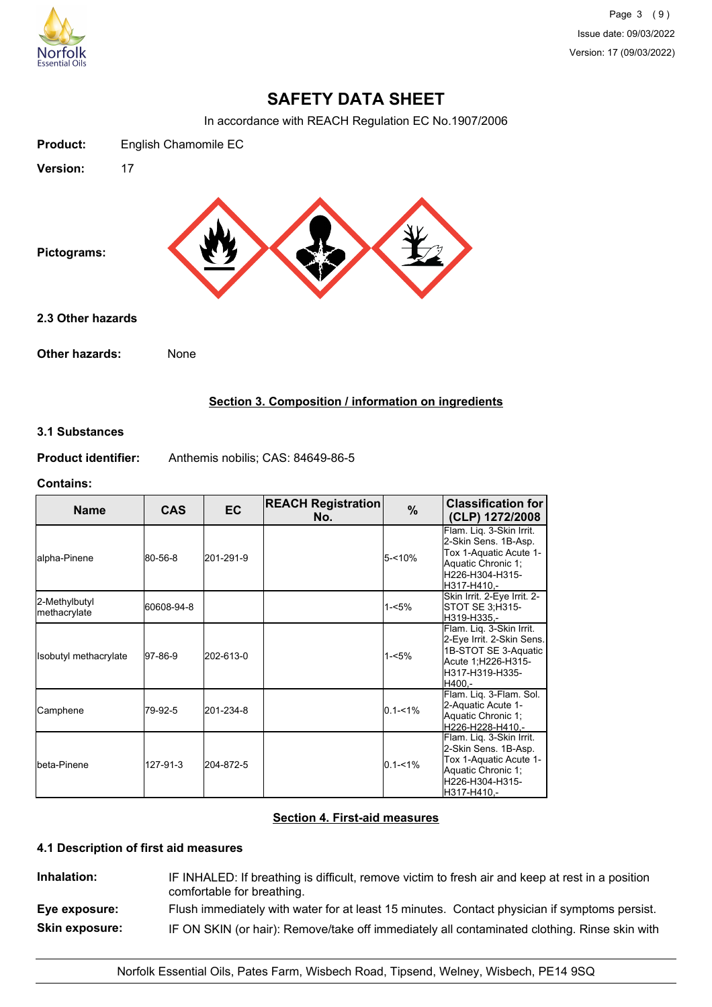

Page 3 (9) Issue date: 09/03/2022 Version: 17 (09/03/2022)

# **SAFETY DATA SHEET**

In accordance with REACH Regulation EC No.1907/2006

| <b>Product:</b>   | English Chamomile EC |  |  |
|-------------------|----------------------|--|--|
| Version:          | 17                   |  |  |
| Pictograms:       |                      |  |  |
| 2.3 Other hazards |                      |  |  |
| Other hazards:    | None                 |  |  |

## **Section 3. Composition / information on ingredients**

### **3.1 Substances**

**Product identifier:** Anthemis nobilis; CAS: 84649-86-5

#### **Contains:**

| <b>Name</b>                   | <b>CAS</b> | <b>EC</b> | <b>REACH Registration</b><br>No. | $\%$        | <b>Classification for</b><br>(CLP) 1272/2008                                                                                        |
|-------------------------------|------------|-----------|----------------------------------|-------------|-------------------------------------------------------------------------------------------------------------------------------------|
| alpha-Pinene                  | 80-56-8    | 201-291-9 |                                  | $5 - 10%$   | Flam. Liq. 3-Skin Irrit.<br>2-Skin Sens. 1B-Asp.<br>Tox 1-Aquatic Acute 1-<br>Aquatic Chronic 1;<br>H226-H304-H315-<br>lH317-H410.- |
| 2-Methylbutyl<br>methacrylate | 60608-94-8 |           |                                  | $1 - 5%$    | Skin Irrit. 2-Eye Irrit. 2-<br>STOT SE 3; H315-<br>H319-H335.-                                                                      |
| Isobutyl methacrylate         | 97-86-9    | 202-613-0 |                                  | $1 - 5%$    | Flam. Liq. 3-Skin Irrit.<br>2-Eye Irrit. 2-Skin Sens.<br>1B-STOT SE 3-Aquatic<br>Acute 1;H226-H315-<br>H317-H319-H335-<br>H400.-    |
| Camphene                      | 79-92-5    | 201-234-8 |                                  | $0.1 - 1\%$ | Flam. Liq. 3-Flam. Sol.<br>2-Aquatic Acute 1-<br>Aquatic Chronic 1;<br>H226-H228-H410.-                                             |
| Ibeta-Pinene                  | 127-91-3   | 204-872-5 |                                  | $0.1 - 1\%$ | Flam. Liq. 3-Skin Irrit.<br>2-Skin Sens. 1B-Asp.<br>Tox 1-Aquatic Acute 1-<br>Aquatic Chronic 1;<br>H226-H304-H315-<br>H317-H410.-  |

## **Section 4. First-aid measures**

## **4.1 Description of first aid measures**

**Inhalation:** IF INHALED: If breathing is difficult, remove victim to fresh air and keep at rest in a position comfortable for breathing. **Eye exposure:** Flush immediately with water for at least 15 minutes. Contact physician if symptoms persist. **Skin exposure:** IF ON SKIN (or hair): Remove/take off immediately all contaminated clothing. Rinse skin with

Norfolk Essential Oils, Pates Farm, Wisbech Road, Tipsend, Welney, Wisbech, PE14 9SQ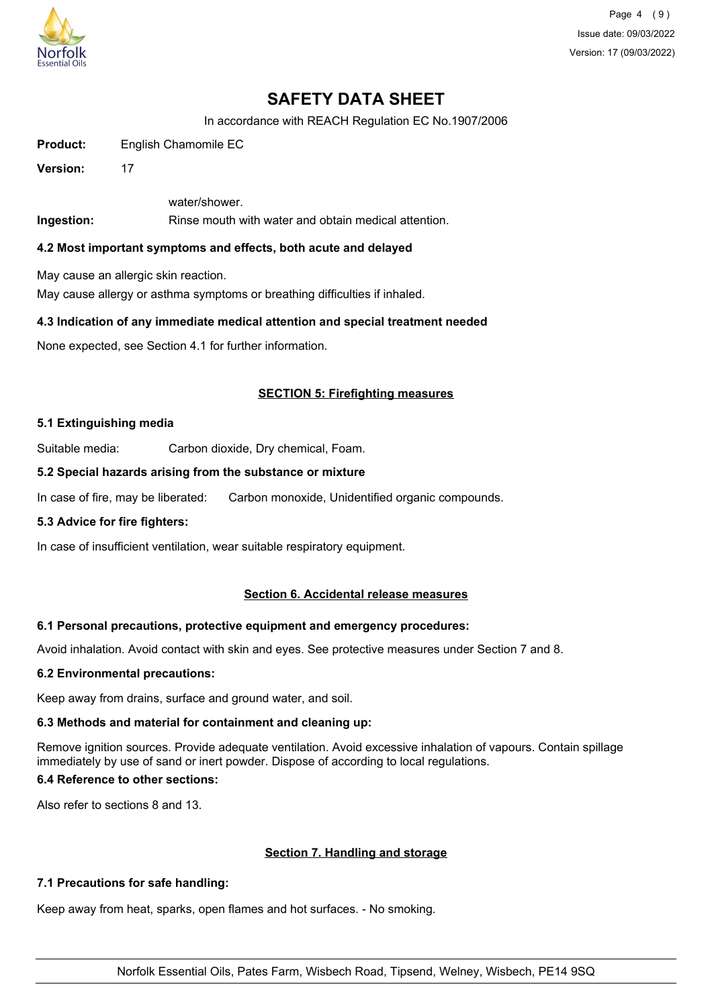

Page 4 (9) Issue date: 09/03/2022 Version: 17 (09/03/2022)

# **SAFETY DATA SHEET**

In accordance with REACH Regulation EC No.1907/2006

**Product:** English Chamomile EC

**Version:** 17

water/shower.

**Ingestion:** Rinse mouth with water and obtain medical attention.

### **4.2 Most important symptoms and effects, both acute and delayed**

May cause an allergic skin reaction.

May cause allergy or asthma symptoms or breathing difficulties if inhaled.

### **4.3 Indication of any immediate medical attention and special treatment needed**

None expected, see Section 4.1 for further information.

## **SECTION 5: Firefighting measures**

#### **5.1 Extinguishing media**

Suitable media: Carbon dioxide, Dry chemical, Foam.

### **5.2 Special hazards arising from the substance or mixture**

In case of fire, may be liberated: Carbon monoxide, Unidentified organic compounds.

## **5.3 Advice for fire fighters:**

In case of insufficient ventilation, wear suitable respiratory equipment.

## **Section 6. Accidental release measures**

## **6.1 Personal precautions, protective equipment and emergency procedures:**

Avoid inhalation. Avoid contact with skin and eyes. See protective measures under Section 7 and 8.

#### **6.2 Environmental precautions:**

Keep away from drains, surface and ground water, and soil.

## **6.3 Methods and material for containment and cleaning up:**

Remove ignition sources. Provide adequate ventilation. Avoid excessive inhalation of vapours. Contain spillage immediately by use of sand or inert powder. Dispose of according to local regulations.

## **6.4 Reference to other sections:**

Also refer to sections 8 and 13.

## **Section 7. Handling and storage**

## **7.1 Precautions for safe handling:**

Keep away from heat, sparks, open flames and hot surfaces. - No smoking.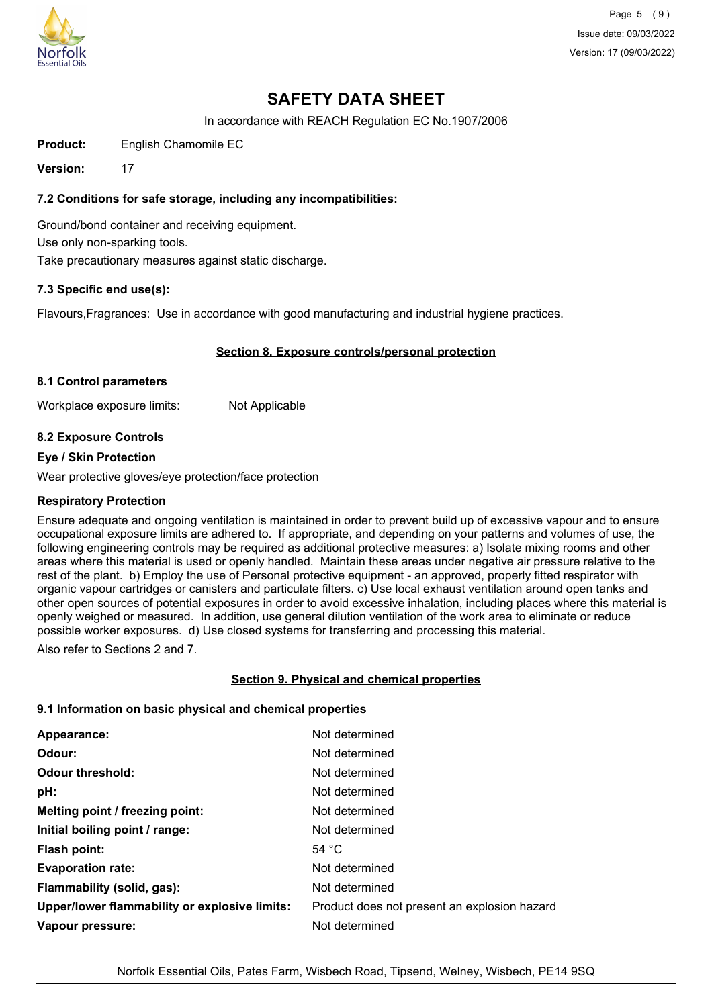

Page 5 (9) Issue date: 09/03/2022 Version: 17 (09/03/2022)

# **SAFETY DATA SHEET**

In accordance with REACH Regulation EC No.1907/2006

**Product:** English Chamomile EC

**Version:** 17

## **7.2 Conditions for safe storage, including any incompatibilities:**

Ground/bond container and receiving equipment. Use only non-sparking tools. Take precautionary measures against static discharge.

## **7.3 Specific end use(s):**

Flavours,Fragrances: Use in accordance with good manufacturing and industrial hygiene practices.

## **Section 8. Exposure controls/personal protection**

#### **8.1 Control parameters**

Workplace exposure limits: Not Applicable

## **8.2 Exposure Controls**

#### **Eye / Skin Protection**

Wear protective gloves/eye protection/face protection

#### **Respiratory Protection**

Ensure adequate and ongoing ventilation is maintained in order to prevent build up of excessive vapour and to ensure occupational exposure limits are adhered to. If appropriate, and depending on your patterns and volumes of use, the following engineering controls may be required as additional protective measures: a) Isolate mixing rooms and other areas where this material is used or openly handled. Maintain these areas under negative air pressure relative to the rest of the plant. b) Employ the use of Personal protective equipment - an approved, properly fitted respirator with organic vapour cartridges or canisters and particulate filters. c) Use local exhaust ventilation around open tanks and other open sources of potential exposures in order to avoid excessive inhalation, including places where this material is openly weighed or measured. In addition, use general dilution ventilation of the work area to eliminate or reduce possible worker exposures. d) Use closed systems for transferring and processing this material.

Also refer to Sections 2 and 7.

## **Section 9. Physical and chemical properties**

#### **9.1 Information on basic physical and chemical properties**

| Appearance:                                   | Not determined                               |
|-----------------------------------------------|----------------------------------------------|
| Odour:                                        | Not determined                               |
| <b>Odour threshold:</b>                       | Not determined                               |
| pH:                                           | Not determined                               |
| Melting point / freezing point:               | Not determined                               |
| Initial boiling point / range:                | Not determined                               |
| <b>Flash point:</b>                           | 54 $^{\circ}$ C                              |
| <b>Evaporation rate:</b>                      | Not determined                               |
| Flammability (solid, gas):                    | Not determined                               |
| Upper/lower flammability or explosive limits: | Product does not present an explosion hazard |
| Vapour pressure:                              | Not determined                               |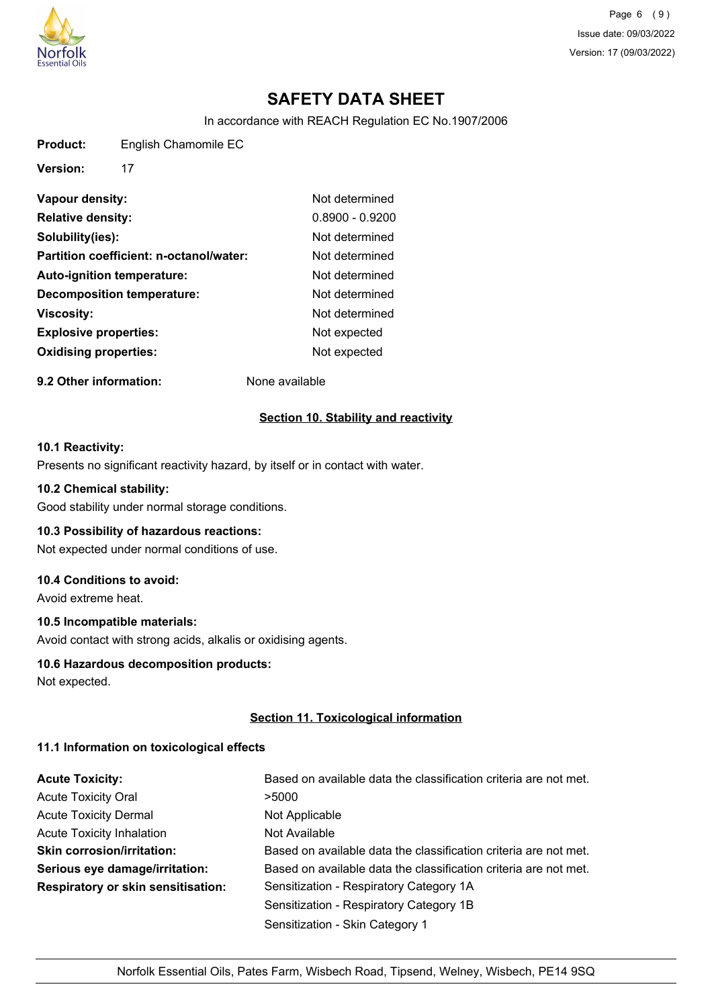

Page 6 (9) Issue date: 09/03/2022 Version: 17 (09/03/2022)

# **SAFETY DATA SHEET**

In accordance with REACH Regulation EC No.1907/2006

**Product:** English Chamomile EC

**Version:** 17

| Not determined    |
|-------------------|
| $0.8900 - 0.9200$ |
| Not determined    |
| Not determined    |
| Not determined    |
| Not determined    |
| Not determined    |
| Not expected      |
| Not expected      |
|                   |

**9.2 Other information:** None available

## **Section 10. Stability and reactivity**

### **10.1 Reactivity:**

Presents no significant reactivity hazard, by itself or in contact with water.

### **10.2 Chemical stability:**

Good stability under normal storage conditions.

## **10.3 Possibility of hazardous reactions:**

Not expected under normal conditions of use.

## **10.4 Conditions to avoid:**

Avoid extreme heat.

## **10.5 Incompatible materials:**

Avoid contact with strong acids, alkalis or oxidising agents.

#### **10.6 Hazardous decomposition products:**

Not expected.

## **Section 11. Toxicological information**

## **11.1 Information on toxicological effects**

| <b>Acute Toxicity:</b>                    | Based on available data the classification criteria are not met. |
|-------------------------------------------|------------------------------------------------------------------|
| <b>Acute Toxicity Oral</b>                | >5000                                                            |
| <b>Acute Toxicity Dermal</b>              | Not Applicable                                                   |
| <b>Acute Toxicity Inhalation</b>          | Not Available                                                    |
| <b>Skin corrosion/irritation:</b>         | Based on available data the classification criteria are not met. |
| Serious eye damage/irritation:            | Based on available data the classification criteria are not met. |
| <b>Respiratory or skin sensitisation:</b> | Sensitization - Respiratory Category 1A                          |
|                                           | Sensitization - Respiratory Category 1B                          |
|                                           | Sensitization - Skin Category 1                                  |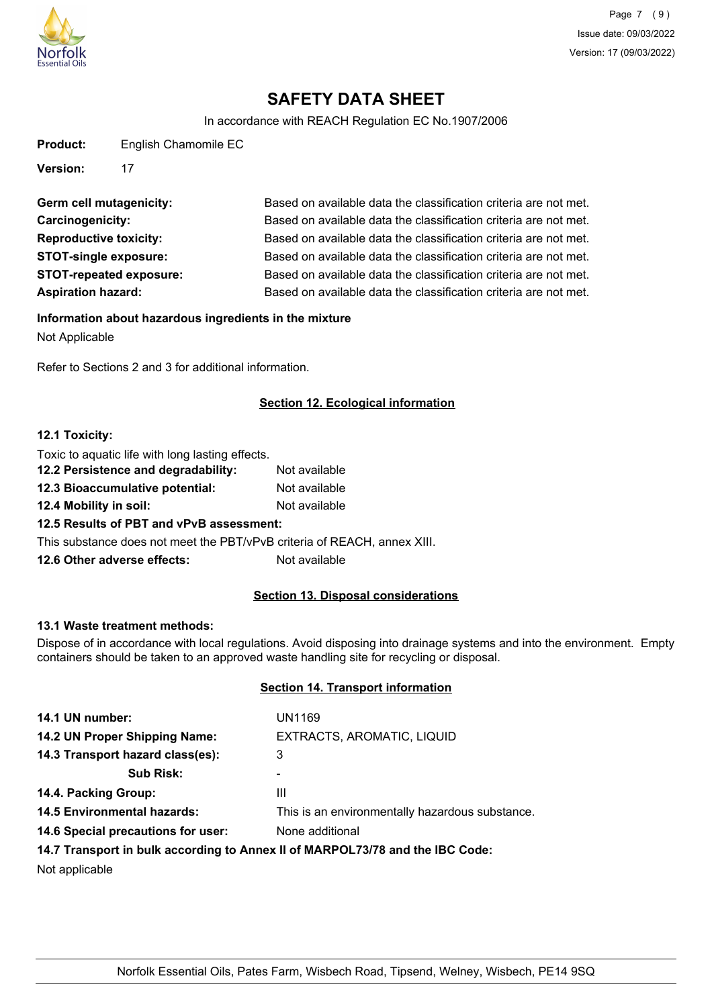

In accordance with REACH Regulation EC No.1907/2006

| <b>Product:</b> | English Chamomile EC |
|-----------------|----------------------|
|-----------------|----------------------|

**Version:** 17

Germ cell mutagenicity: Based on available data the classification criteria are not met. **Carcinogenicity:** Based on available data the classification criteria are not met. **Reproductive toxicity:** Based on available data the classification criteria are not met. **STOT-single exposure:** Based on available data the classification criteria are not met. **STOT-repeated exposure:** Based on available data the classification criteria are not met. **Aspiration hazard:** Based on available data the classification criteria are not met.

#### **Information about hazardous ingredients in the mixture**

Not Applicable

Refer to Sections 2 and 3 for additional information.

## **Section 12. Ecological information**

#### **12.1 Toxicity:**

Toxic to aquatic life with long lasting effects.

| 12.2 Persistence and degradability:                                      | Not available |
|--------------------------------------------------------------------------|---------------|
| 12.3 Bioaccumulative potential:                                          | Not available |
| 12.4 Mobility in soil:                                                   | Not available |
| 12.5 Results of PBT and vPvB assessment:                                 |               |
| This substance does not meet the PBT/vPvB criteria of REACH, annex XIII. |               |
| 12.6 Other adverse effects:                                              | Not available |
|                                                                          |               |

## **Section 13. Disposal considerations**

### **13.1 Waste treatment methods:**

Dispose of in accordance with local regulations. Avoid disposing into drainage systems and into the environment. Empty containers should be taken to an approved waste handling site for recycling or disposal.

## **Section 14. Transport information**

| 14.1 UN number:                    | UN1169                                                                        |
|------------------------------------|-------------------------------------------------------------------------------|
| 14.2 UN Proper Shipping Name:      | EXTRACTS, AROMATIC, LIQUID                                                    |
| 14.3 Transport hazard class(es):   | 3                                                                             |
| <b>Sub Risk:</b>                   |                                                                               |
| 14.4. Packing Group:               | Ш                                                                             |
| <b>14.5 Environmental hazards:</b> | This is an environmentally hazardous substance.                               |
| 14.6 Special precautions for user: | None additional                                                               |
|                                    | 14.7 Transport in bulk according to Annex II of MARPOL73/78 and the IBC Code: |

Not applicable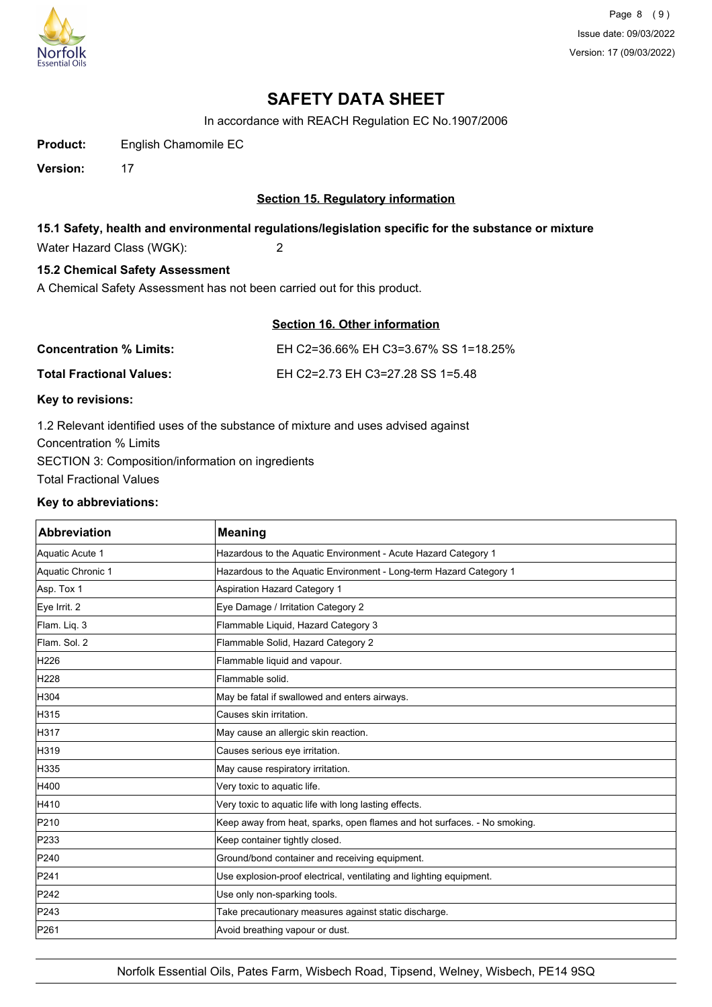

Page 8 (9) Issue date: 09/03/2022 Version: 17 (09/03/2022)

# **SAFETY DATA SHEET**

In accordance with REACH Regulation EC No.1907/2006

**Product:** English Chamomile EC

**Version:** 17

## **Section 15. Regulatory information**

## **15.1 Safety, health and environmental regulations/legislation specific for the substance or mixture**

Water Hazard Class (WGK): 2

## **15.2 Chemical Safety Assessment**

A Chemical Safety Assessment has not been carried out for this product.

| Section 16. Other information |  |  |
|-------------------------------|--|--|
|                               |  |  |

| <b>Concentration % Limits:</b>  | EH C2=36.66% EH C3=3.67% SS 1=18.25% |
|---------------------------------|--------------------------------------|
| <b>Total Fractional Values:</b> | EH C2=2.73 EH C3=27.28 SS 1=5.48     |

## **Key to revisions:**

1.2 Relevant identified uses of the substance of mixture and uses advised against Concentration % Limits SECTION 3: Composition/information on ingredients Total Fractional Values

#### **Key to abbreviations:**

| <b>Abbreviation</b> | <b>Meaning</b>                                                           |  |
|---------------------|--------------------------------------------------------------------------|--|
| Aquatic Acute 1     | Hazardous to the Aquatic Environment - Acute Hazard Category 1           |  |
| Aquatic Chronic 1   | Hazardous to the Aquatic Environment - Long-term Hazard Category 1       |  |
| Asp. Tox 1          | Aspiration Hazard Category 1                                             |  |
| Eye Irrit. 2        | Eye Damage / Irritation Category 2                                       |  |
| Flam. Liq. 3        | Flammable Liquid, Hazard Category 3                                      |  |
| Flam. Sol. 2        | Flammable Solid, Hazard Category 2                                       |  |
| H <sub>226</sub>    | Flammable liquid and vapour.                                             |  |
| H228                | Flammable solid.                                                         |  |
| H304                | May be fatal if swallowed and enters airways.                            |  |
| H315                | Causes skin irritation.                                                  |  |
| H317                | May cause an allergic skin reaction.                                     |  |
| H319                | Causes serious eye irritation.                                           |  |
| H335                | May cause respiratory irritation.                                        |  |
| H400                | Very toxic to aquatic life.                                              |  |
| H410                | Very toxic to aquatic life with long lasting effects.                    |  |
| P210                | Keep away from heat, sparks, open flames and hot surfaces. - No smoking. |  |
| P233                | Keep container tightly closed.                                           |  |
| P240                | Ground/bond container and receiving equipment.                           |  |
| P241                | Use explosion-proof electrical, ventilating and lighting equipment.      |  |
| P242                | Use only non-sparking tools.                                             |  |
| P243                | Take precautionary measures against static discharge.                    |  |
| P261                | Avoid breathing vapour or dust.                                          |  |